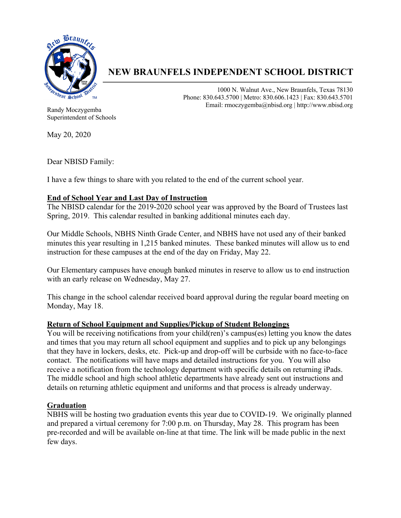

# **NEW BRAUNFELS INDEPENDENT SCHOOL DISTRICT**

1000 N. Walnut Ave., New Braunfels, Texas 78130 Phone: 830.643.5700 | Metro: 830.606.1423 | Fax: 830.643.5701 Email: rmoczygemba@nbisd.org | http://www.nbisd.org

Randy Moczygemba Superintendent of Schools

May 20, 2020

Dear NBISD Family:

I have a few things to share with you related to the end of the current school year.

## **End of School Year and Last Day of Instruction**

The NBISD calendar for the 2019-2020 school year was approved by the Board of Trustees last Spring, 2019. This calendar resulted in banking additional minutes each day.

Our Middle Schools, NBHS Ninth Grade Center, and NBHS have not used any of their banked minutes this year resulting in 1,215 banked minutes. These banked minutes will allow us to end instruction for these campuses at the end of the day on Friday, May 22.

Our Elementary campuses have enough banked minutes in reserve to allow us to end instruction with an early release on Wednesday, May 27.

This change in the school calendar received board approval during the regular board meeting on Monday, May 18.

## **Return of School Equipment and Supplies/Pickup of Student Belongings**

You will be receiving notifications from your child(ren)'s campus(es) letting you know the dates and times that you may return all school equipment and supplies and to pick up any belongings that they have in lockers, desks, etc. Pick-up and drop-off will be curbside with no face-to-face contact. The notifications will have maps and detailed instructions for you. You will also receive a notification from the technology department with specific details on returning iPads. The middle school and high school athletic departments have already sent out instructions and details on returning athletic equipment and uniforms and that process is already underway.

## **Graduation**

NBHS will be hosting two graduation events this year due to COVID-19. We originally planned and prepared a virtual ceremony for 7:00 p.m. on Thursday, May 28. This program has been pre-recorded and will be available on-line at that time. The link will be made public in the next few days.